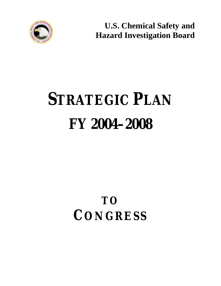

**U.S. Chemical Safety and Hazard Investigation Board**

# **STRATEGIC PLAN FY 2004–2008**

# **TO CONGRESS**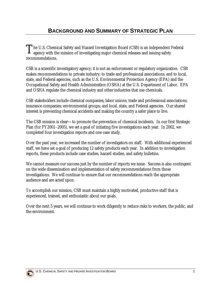The U.S. Chemical Safety and Hazard Investigation Board (CSB) is an independent Federal agency with the mission of investigating major chemical releases and issuing safety recommendations.

CSB is a scientific investigatory agency; it is not an enforcement or regulatory organization. CSB makes recommendations to private industry; to trade and professional associations; and to local, state, and Federal agencies, such as the U.S. Environmental Protection Agency (EPA) and the Occupational Safety and Health Administration (OSHA) at the U.S. Department of Labor. EPA and OSHA regulate the chemical industry and other industries that use chemicals.

CSB stakeholders include chemical companies; labor unions; trade and professional associations; insurance companies; environmental groups; and local, state, and Federal agencies. Our shared interest is preventing chemical accidents and making the country a safer place to live.

The CSB mission is clear—to promote the prevention of chemical incidents. In our first Strategic Plan (for FY2001–2005), we set a goal of initiating five investigations each year. In 2002, we completed four investigation reports and one case study.

Over the past year, we increased the number of investigators on staff. With additional experienced staff, we have set a goal of producing 12 safety products each year. In addition to investigation reports, these products include case studies, hazard studies, and safety bulletins.

We cannot measure our success just by the number of reports we issue. Success is also contingent on the wide dissemination and implementation of safety recommendations from those investigations. We will continue to ensure that our recommendations reach the appropriate audience and are acted upon.

To accomplish our mission, CSB must maintain a highly motivated, productive staff that is experienced, trained, and enthusiastic about our goals.

Over the next 5 years, we will continue to work diligently to reduce risks to workers, the public, and the environment.

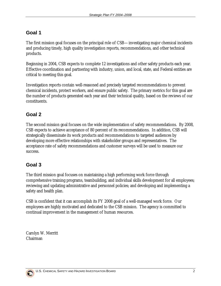The first mission goal focuses on the principal role of CSB—investigating major chemical incidents and producing timely, high quality investigation reports, recommendations, and other technical products.

Beginning in 2004, CSB expects to complete 12 investigations and other safety products each year. Effective coordination and partnering with industry, union, and local, state, and Federal entities are critical to meeting this goal.

Investigation reports contain well-reasoned and precisely targeted recommendations to prevent chemical incidents, protect workers, and ensure public safety. The primary metrics for this goal are the number of products generated each year and their technical quality, based on the reviews of our constituents.

#### **Goal 2**

The second mission goal focuses on the wide implementation of safety recommendations. By 2008, CSB expects to achieve acceptance of 80 percent of its recommendations. In addition, CSB will strategically disseminate its work products and recommendations to targeted audiences by developing more effective relationships with stakeholder groups and representatives. The acceptance rate of safety recommendations and customer surveys will be used to measure our success.

#### **Goal 3**

The third mission goal focuses on maintaining a high performing work force through comprehensive training programs, teambuilding, and individual skills development for all employees; reviewing and updating administrative and personnel policies; and developing and implementing a safety and health plan.

CSB is confident that it can accomplish its FY 2008 goal of a well-managed work force. Our employees are highly motivated and dedicated to the CSB mission. The agency is committed to continual improvement in the management of human resources.

Carolyn W. Merritt Chairman

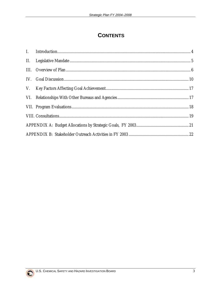#### **CONTENTS**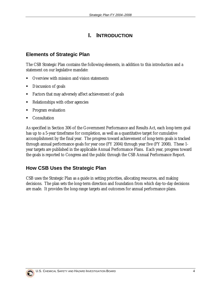#### **I. INTRODUCTION**

#### <span id="page-4-0"></span>**Elements of Strategic Plan**

The CSB Strategic Plan contains the following elements, in addition to this introduction and a statement on our legislative mandate:

- ! Overview with mission and vision statements
- Discussion of goals
- ! Factors that may adversely affect achievement of goals
- **EXECUTE:** Relationships with other agencies
- ! Program evaluation
- **Consultation**

As specified in Section 306 of the Government Performance and Results Act, each long-term goal has up to a 5-year timeframe for completion, as well as a quantitative target for cumulative accomplishment by the final year. The progress toward achievement of long-term goals is tracked through annual performance goals for year one (FY 2004) through year five (FY 2008). These 1 year targets are published in the applicable Annual Performance Plans. Each year, progress toward the goals is reported to Congress and the public through the CSB Annual Performance Report.

#### **How CSB Uses the Strategic Plan**

CSB uses the Strategic Plan as a guide in setting priorities, allocating resources, and making decisions. The plan sets the long-term direction and foundation from which day-to-day decisions are made. It provides the long-range targets and outcomes for annual performance plans.

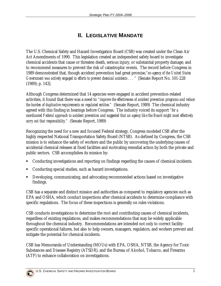#### **II. LEGISLATIVE MANDATE**

<span id="page-5-0"></span>The U.S. Chemical Safety and Hazard Investigation Board (CSB) was created under the Clean Air Act Amendments of 1990. This legislation created an independent safety board to investigate chemical accidents that cause or threaten death, serious injury, or substantial property damage; and to recommend measures to prevent the risk of catastrophic events. The record before Congress in 1989 demonstrated that, though accident prevention had great promise,*"no agency of the United States Government was actively engaged in efforts to prevent chemical accidents . . . "* [Senate Report No. 101-228 (1989); p. 143].

Although Congress determined that 14 agencies were engaged in accident prevention-related activities, it found that there was a need to *"improve the effectiveness of accident prevention programs and reduce the burden of duplicative requirements on regulated entities."* (Senate Report, 1989) The chemical industry agreed with this finding in hearings before Congress. The industry voiced its support *"for a coordinated Federal approach to accident prevention and suggested that an agency like the Board might most effectively carry out that responsibility."* (Senate Report, 1989)

Recognizing the need for a new and focused Federal strategy, Congress modeled CSB after the highly respected National Transportation Safety Board (NTSB). As defined by Congress, the CSB mission is to enhance the safety of workers and the public by uncovering the underlying causes of accidental chemical releases at fixed facilities and motivating remedial action by both the private and public sectors. CSB accomplishes its mission by:

- ! Conducting investigations and reporting on findings regarding the causes of chemical incidents.
- ! Conducting special studies, such as hazard investigations.
- ! Developing, communicating, and advocating recommended actions based on investigative findings.

CSB has a separate and distinct mission and authorities as compared to regulatory agencies such as EPA and OSHA, which conduct inspections after chemical accidents to determine compliance with specific regulations. The focus of these inspections is generally on rules violations.

CSB conducts investigations to determine the root and contributing causes of chemical incidents, regardless of existing regulations, and makes recommendations that may be widely applicable throughout the chemical industry. Recommendations are intended not only to correct facilityspecific operational failures, but also to help owners, managers, regulators, and workers prevent and mitigate the potential for chemical incidents.

CSB has Memoranda of Understanding (MOUs) with EPA, OSHA, NTSB, the Agency for Toxic Substances and Disease Registry (ATSDR), and the Bureau of Alcohol, Tobacco, and Firearms (ATF) to enhance collaboration on investigations.

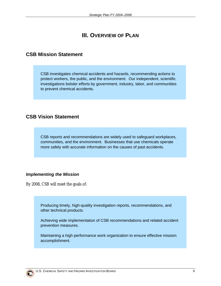#### **III. OVERVIEW OF PLAN**

#### <span id="page-6-0"></span>**CSB Mission Statement**

CSB investigates chemical accidents and hazards, recommending actions to protect workers, the public, and the environment. Our independent, scientific investigations bolster efforts by government, industry, labor, and communities to prevent chemical accidents.

#### **CSB Vision Statement**

CSB reports and recommendations are widely used to safeguard workplaces, communities, and the environment. Businesses that use chemicals operate more safely with accurate information on the causes of past accidents.

#### *Implementing the Mission*

By 2008, CSB will meet the goals of:

Producing timely, high-quality investigation reports, recommendations, and other technical products.

Achieving wide implementation of CSB recommendations and related accident prevention measures.

Maintaining a high performance work organization to ensure effective mission accomplishment.

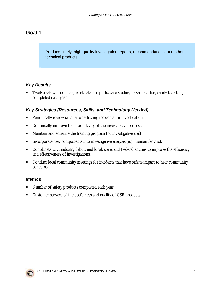Produce timely, high-quality investigation reports, recommendations, and other technical products.

#### *Key Results*

! Twelve safety products (investigation reports, case studies, hazard studies, safety bulletins) completed each year.

#### *Key Strategies (Resources, Skills, and Technology Needed)*

- ! Periodically review criteria for selecting incidents for investigation.
- ! Continually improve the productivity of the investigative process.
- ! Maintain and enhance the training program for investigative staff.
- ! Incorporate new components into investigative analysis (e.g., human factors).
- ! Coordinate with industry; labor; and local, state, and Federal entities to improve the efficiency and effectiveness of investigations.
- ! Conduct local community meetings for incidents that have offsite impact to hear community concerns.

#### *Metrics*

- Number of safety products completed each year.
- ! Customer surveys of the usefulness and quality of CSB products.

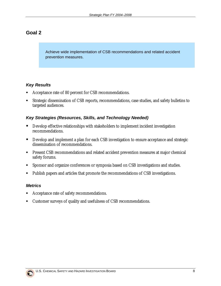Achieve wide implementation of CSB recommendations and related accident prevention measures.

#### *Key Results*

- ! Acceptance rate of 80 percent for CSB recommendations.
- ! Strategic dissemination of CSB reports, recommendations, case studies, and safety bulletins to targeted audiences.

#### *Key Strategies (Resources, Skills, and Technology Needed)*

- ! Develop effective relationships with stakeholders to implement incident investigation recommendations.
- **Develop and implement a plan for each CSB investigation to ensure acceptance and strategic** dissemination of recommendations.
- ! Present CSB recommendations and related accident prevention measures at major chemical safety forums.
- ! Sponsor and organize conferences or symposia based on CSB investigations and studies.
- ! Publish papers and articles that promote the recommendations of CSB investigations.

#### *Metrics*

- Acceptance rate of safety recommendations.
- ! Customer surveys of quality and usefulness of CSB recommendations.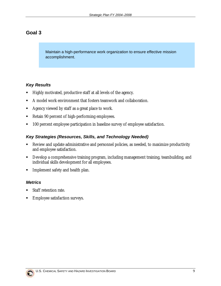Maintain a high-performance work organization to ensure effective mission accomplishment.

#### *Key Results*

- ! Highly motivated, productive staff at all levels of the agency.
- ! A model work environment that fosters teamwork and collaboration.
- ! Agency viewed by staff as a great place to work.
- ! Retain 90 percent of high-performing employees.
- ! 100 percent employee participation in baseline survey of employee satisfaction.

#### *Key Strategies (Resources, Skills, and Technology Needed)*

- ! Review and update administrative and personnel policies, as needed, to maximize productivity and employee satisfaction.
- ! Develop a comprehensive training program, including management training, teambuilding, and individual skills development for all employees.
- **Implement safety and health plan.**

#### *Metrics*

- Staff retention rate.
- Employee satisfaction surveys.

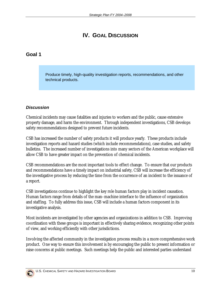#### **IV. GOAL DISCUSSION**

#### <span id="page-10-0"></span>**Goal 1**

Produce timely, high-quality investigation reports, recommendations, and other technical products.

#### *Discussion*

Chemical incidents may cause fatalities and injuries to workers and the public, cause extensive property damage, and harm the environment. Through independent investigations, CSB develops safety recommendations designed to prevent future incidents.

CSB has increased the number of safety products it will produce yearly. These products include investigation reports and hazard studies (which include recommendations), case studies, and safety bulletins. The increased number of investigations into many sectors of the American workplace will allow CSB to have greater impact on the prevention of chemical incidents.

CSB recommendations are the most important tools to effect change. To ensure that our products and recommendations have a timely impact on industrial safety, CSB will increase the efficiency of the investigative process by reducing the time from the occurrence of an incident to the issuance of a report.

CSB investigations continue to highlight the key role human factors play in incident causation. Human factors range from details of the man–machine interface to the influence of organization and staffing. To fully address this issue, CSB will include a human factors component in its investigative analysis.

Most incidents are investigated by other agencies and organizations in addition to CSB. Improving coordination with these groups is important in effectively sharing evidence, recognizing other points of view, and working efficiently with other jurisdictions.

Involving the affected community in the investigation process results in a more comprehensive work product. One way to ensure this involvement is by encouraging the public to present information or raise concerns at public meetings. Such meetings help the public and interested parties understand

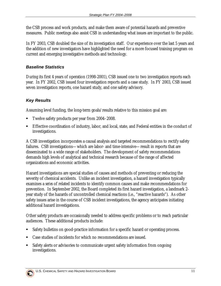the CSB process and work products, and make them aware of potential hazards and preventive measures. Public meetings also assist CSB in understanding what issues are important to the public.

In FY 2003, CSB doubled the size of its investigation staff. Our experience over the last 5 years and the addition of new investigators have highlighted the need for a more focused training program on current and emerging investigative methods and technology.

#### *Baseline Statistics*

During its first 4 years of operation (1998-2001), CSB issued one to two investigation reports each year. In FY 2002, CSB issued four investigation reports and a case study. In FY 2003, CSB issued seven investigation reports, one hazard study, and one safety advisory.

#### *Key Results*

Assuming level funding, the long-term goals/results relative to this mission goal are:

- ! Twelve safety products per year from 2004–2008.
- ! Effective coordination of industry, labor, and local, state, and Federal entities in the conduct of investigations.

A CSB investigation incorporates a causal analysis and targeted recommendations to rectify safety failures. CSB investigations—which are labor- and time-intensive—result in reports that are disseminated to a wide range of stakeholders. The development of safety recommendations demands high levels of analytical and technical research because of the range of affected organizations and economic activities.

Hazard investigations are special studies of causes and methods of preventing or reducing the severity of chemical accidents. Unlike an incident investigation, a hazard investigation typically examines a *series* of related incidents to identify common causes and make recommendations for prevention. In September 2002, the Board completed its first hazard investigation, a landmark 2 year study of the hazards of uncontrolled chemical reactions (i.e., "reactive hazards"). As other safety issues arise in the course of CSB incident investigations, the agency anticipates initiating additional hazard investigations.

Other safety products are occasionally needed to address specific problems or to reach particular audiences. These additional products include:

- Safety bulletins on good-practice information for a specific hazard or operating process.
- ! Case studies of incidents for which no recommendations are issued.
- Safety alerts or advisories to communicate urgent safety information from ongoing investigations.

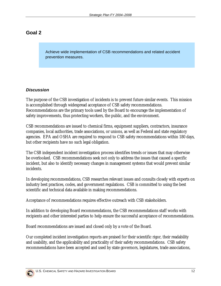Achieve wide implementation of CSB recommendations and related accident prevention measures.

#### *Discussion*

The purpose of the CSB investigation of incidents is to prevent future similar events. This mission is accomplished through widespread acceptance of CSB safety recommendations. Recommendations are the primary tools used by the Board to encourage the implementation of safety improvements, thus protecting workers, the public, and the environment.

CSB recommendations are issued to chemical firms, equipment suppliers, contractors, insurance companies, local authorities, trade associations, or unions, as well as Federal and state regulatory agencies. EPA and OSHA are required to respond to CSB safety recommendations within 180 days, but other recipients have no such legal obligation.

The CSB independent incident investigation process identifies trends or issues that may otherwise be overlooked. CSB recommendations seek not only to address the issues that caused a specific incident, but also to identify necessary changes in management systems that would prevent similar incidents.

In developing recommendations, CSB researches relevant issues and consults closely with experts on industry best practices, codes, and government regulations. CSB is committed to using the best scientific and technical data available in making recommendations.

Acceptance of recommendations requires effective outreach with CSB stakeholders.

In addition to developing Board recommendations, the CSB recommendations staff works with recipients and other interested parties to help ensure the successful acceptance of recommendations.

Board recommendations are issued and closed only by a vote of the Board.

Our completed incident investigation reports are praised for their scientific rigor, their readability and usability, and the applicability and practicality of their safety recommendations. CSB safety recommendations have been accepted and used by state governors, legislatures, trade associations,

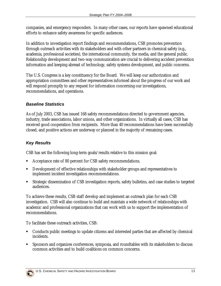companies, and emergency responders. In many other cases, our reports have spawned educational efforts to enhance safety awareness for specific audiences.

In addition to investigation report findings and recommendations, CSB promotes prevention through outreach activities with its stakeholders and with other partners in chemical safety (e.g., academia, professional societies), the international community, the media, and the general public. Relationship development and two-way communication are crucial to delivering accident prevention information and keeping abreast of technology, safety systems development, and public concerns.

The U.S. Congress is a key constituency for the Board. We will keep our authorization and appropriation committees and other representatives informed about the progress of our work and will respond promptly to any request for information concerning our investigations, recommendations, and operations.

#### *Baseline Statistics*

As of July 2003, CSB has issued 168 safety recommendations directed to government agencies, industry, trade associations, labor unions, and other organizations. In virtually all cases, CSB has received good cooperation from recipients. More than 40 recommendations have been successfully closed, and positive actions are underway or planned in the majority of remaining cases.

#### *Key Results*

CSB has set the following long-term goals/results relative to this mission goal:

- ! Acceptance rate of 80 percent for CSB safety recommendations.
- ! Development of effective relationships with stakeholder groups and representatives to implement incident investigation recommendations.
- ! Strategic dissemination of CSB investigation reports, safety bulletins, and case studies to targeted audiences.

To achieve these results, CSB staff develop and implement an outreach plan for each CSB investigation. CSB will also continue to build and maintain a wide network of relationships with academic and professional organizations that can work with us to support the implementation of recommendations.

To facilitate these outreach activities, CSB:

- ! Conducts public meetings to update citizens and interested parties that are affected by chemical incidents.
- ! Sponsors and organizes conferences, symposia, and roundtables with its stakeholders to discuss common activities and to build coalitions on common concerns.

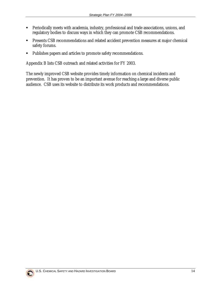- ! Periodically meets with academia, industry, professional and trade associations, unions, and regulatory bodies to discuss ways in which they can promote CSB recommendations.
- ! Presents CSB recommendations and related accident prevention measures at major chemical safety forums.
- ! Publishes papers and articles to promote safety recommendations.

Appendix B lists CSB outreach and related activities for FY 2003.

The newly improved CSB website provides timely information on chemical incidents and prevention. It has proven to be an important avenue for reaching a large and diverse public audience. CSB uses its website to distribute its work products and recommendations.

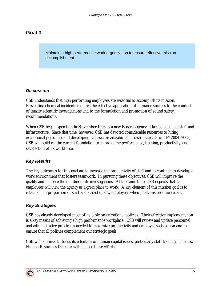Maintain a high performance work organization to ensure effective mission accomplishment.

#### *Discussion*

CSB understands that high performing employees are essential to accomplish its mission. Preventing chemical incidents requires the effective application of human resources to the conduct of quality scientific investigations and to the formulation and promotion of sound safety recommendations.

When CSB began operation in November 1998 as a new Federal agency, it lacked adequate staff and infrastructure. Since that time, however, CSB has devoted considerable resources to hiring exceptional personnel and developing its basic organizational infrastructure. From FY2004–2008, CSB will build on the current foundation to improve the performance, training, productivity, and satisfaction of its workforce.

#### *Key Results*

The key outcomes for this goal are to increase the productivity of staff and to continue to develop a work environment that fosters teamwork. In pursuing these objectives, CSB will improve the quality and increase the number of its investigations. At the same time, CSB expects that its employees will view the agency as a great place to work. A key element of this mission goal is to retain a high proportion of staff and attract quality employees when positions become vacant.

#### *Key Strategies*

CSB has already developed most of its basic organizational policies. Their effective implementation is a key means of achieving a high performance workplace. CSB will review and update personnel and administrative policies as needed to maximize productivity and employee satisfaction and to ensure that all policies complement our strategic goals.

CSB will continue to focus its attention on human capital issues, particularly staff training. The new Human Resources Director will manage these efforts.

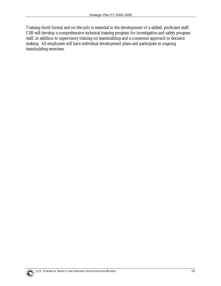Training (both formal and on-the-job) is essential to the development of a skilled, proficient staff. CSB will develop a comprehensive technical training program for investigative and safety program staff, in addition to supervisory training on teambuilding and a consensus approach to decision making. All employees will have individual development plans and participate in ongoing teambuilding exercises.

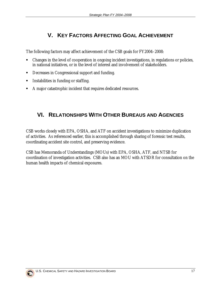#### **V. KEY FACTORS AFFECTING GOAL ACHIEVEMENT**

<span id="page-17-0"></span>The following factors may affect achievement of the CSB goals for FY2004–2008:

- ! Changes in the level of cooperation in ongoing incident investigations, in regulations or policies, in national initiatives, or in the level of interest and involvement of stakeholders.
- ! Decreases in Congressional support and funding.
- ! Instabilities in funding or staffing.
- ! A major catastrophic incident that requires dedicated resources.

#### **VI. RELATIONSHIPS WITH OTHER BUREAUS AND AGENCIES**

CSB works closely with EPA, OSHA, and ATF on accident investigations to minimize duplication of activities. As referenced earlier, this is accomplished through sharing of forensic test results, coordinating accident site control, and preserving evidence.

CSB has Memoranda of Understandings (MOUs) with EPA, OSHA, ATF, and NTSB for coordination of investigation activities. CSB also has an MOU with ATSDR for consultation on the human health impacts of chemical exposures.

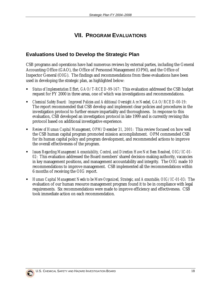#### **VII. PROGRAM EVALUATIONS**

#### <span id="page-18-0"></span>**Evaluations Used to Develop the Strategic Plan**

CSB programs and operations have had numerous reviews by external parties, including the General Accounting Office (GAO), the Office of Personnel Management (OPM), and the Office of Inspector General (OIG). The findings and recommendations from these evaluations have been used in developing the strategic plan, as highlighted below:

- ! *Status of Implementation Effort, GAO/T-RCED-99-167*: This evaluation addressed the CSB budget request for FY 2000 in three areas, one of which was investigations and recommendations.
- ! *Chemical Safety Board: Improved Policies and Additional Oversight Are Needed, GAO/RCED-00-19*: The report recommended that CSB develop and implement clear policies and procedures in the investigation protocol to further ensure impartiality and thoroughness. In response to this evaluation, CSB developed an investigation protocol in late 1999 and is currently revising this protocol based on additional investigative experience.
- ! *Review of Human Capital Management, OPM/December 31, 2001*: This review focused on how well the CSB human capital program promoted mission accomplishment. OPM commended CSB for its human capital policy and program development, and recommended actions to improve the overall effectiveness of the program.
- ! *Issues Regarding Management Accountability, Control, and Direction Have Not Been Resolved, OIG/IC-01- 02*: This evaluation addressed the Board members' shared decision-making authority, vacancies in key management positions, and management accountability and integrity. The OIG made 10 recommendations to improve management. CSB implemented all the recommendations within 6 months of receiving the OIG report.
- ! *Human Capital Management Needs to be More Organized, Strategic, and Accountable, OIG/IC-01-03*: The evaluation of our human resource management program found it to be in compliance with legal requirements. Six recommendations were made to improve efficiency and effectiveness. CSB took immediate action on each recommendation.

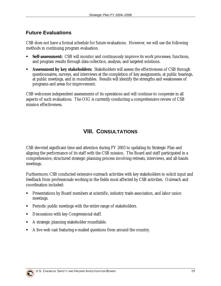#### <span id="page-19-0"></span>**Future Evaluations**

CSB does not have a formal schedule for future evaluations. However, we will use the following methods in continuing program evaluation:

- **Self-assessment:** CSB will monitor and continuously improve its work processes, functions, and program results through data collection, analysis, and targeted solutions.
- ! **Assessment by key stakeholders:** Stakeholders will assess the effectiveness of CSB through questionnaires, surveys, and interviews at the completion of key assignments, at public hearings, at public meetings, and in roundtables. Results will identify the strengths and weaknesses of programs and areas for improvement.

CSB welcomes independent assessments of its operations and will continue to cooperate in all aspects of such evaluations. The OIG is currently conducting a comprehensive review of CSB mission effectiveness.

#### **VIII. CONSULTATIONS**

CSB devoted significant time and attention during FY 2003 to updating its Strategic Plan and aligning the performance of its staff with the CSB mission. The Board and staff participated in a comprehensive, structured strategic planning process involving retreats, interviews, and all-hands meetings.

Furthermore, CSB conducted extensive outreach activities with key stakeholders to solicit input and feedback from professionals working in the fields most affected by CSB activities. Outreach and coordination included:

- ! Presentations by Board members at scientific, industry trade association, and labor union meetings.
- ! Periodic public meetings with the entire range of stakeholders.
- ! Discussions with key Congressional staff.
- ! A strategic planning stakeholder roundtable.
- ! A live web cast featuring e-mailed questions from around the country.

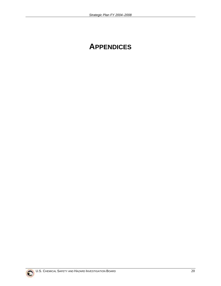### **APPENDICES**

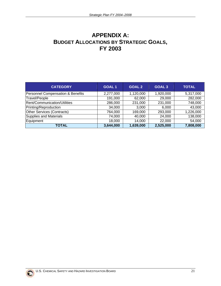#### <span id="page-21-0"></span>**APPENDIX A: BUDGET ALLOCATIONS BY STRATEGIC GOALS, FY 2003**

| <b>CATEGORY</b>                   | <b>GOAL1</b> | <b>GOAL 2</b> | GOAL <sub>3</sub> | <b>TOTAL</b> |
|-----------------------------------|--------------|---------------|-------------------|--------------|
| Personnel Compensation & Benefits | 2,277,000    | 1,120,000     | 1,920,000         | 5,317,000    |
| Travel/People                     | 191,000      | 62,000        | 29,000            | 282,000      |
| Rent/Communication/Utilities      | 286,000      | 231,000       | 231,000           | 748,000      |
| Printing/Reproduction             | 34,000       | 3,000         | 6.000             | 43,000       |
| Other Services (Contracts)        | 764,000      | 169,000       | 293,000           | 1,226,000    |
| Supplies and Materials            | 74,000       | 40,000        | 24,000            | 138,000      |
| Equipment                         | 18,000       | 14,000        | 22,000            | 54,000       |
| <b>TOTAL</b>                      | 3,644,000    | 1,639,000     | 2,525,000         | 7,808,000    |

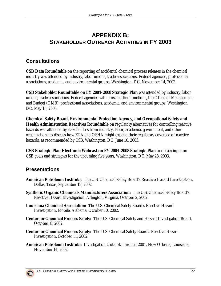#### <span id="page-22-0"></span>**APPENDIX B: STAKEHOLDER OUTREACH ACTIVITIES IN FY 2003**

#### **Consultations**

**CSB Data Roundtable** on the reporting of accidental chemical process releases in the chemical industry was attended by industry, labor unions, trade associations, Federal agencies, professional associations, academia, and environmental groups, Washington, DC, November 14, 2002.

**CSB Stakeholder Roundtable on FY 2004–2008 Strategic Plan** was attended by industry, labor unions, trade associations, Federal agencies with cross-cutting functions, the Office of Management and Budget (OMB), professional associations, academia, and environmental groups, Washington, DC, May 15, 2003.

**Chemical Safety Board, Environmental Protection Agency, and Occupational Safety and Health Administration Reactives Roundtable** on regulatory alternatives for controlling reactive hazards was attended by stakeholders from industry, labor, academia, government, and other organizations to discuss how EPA and OSHA might expand their regulatory coverage of reactive hazards, as recommended by CSB, Washington, DC, June 10, 2003.

**CSB Strategic Plan Electronic Webcast on FY 2004–2008 Strategic Plan** to obtain input on CSB goals and strategies for the upcoming five years, Washington, DC, May 28, 2003.

#### **Presentations**

- **American Petroleum Institute:** The U.S. Chemical Safety Board's Reactive Hazard Investigation, Dallas, Texas, September 19, 2002.
- **Synthetic Organic Chemicals Manufacturers Association:** The U.S. Chemical Safety Board's Reactive Hazard Investigation, Arlington, Virginia, October 2, 2002.
- **Louisiana Chemical Association:** The U.S. Chemical Safety Board's Reactive Hazard Investigation, Mobile, Alabama, October 10, 2002.
- **Center for Chemical Process Safety:** The U.S. Chemical Safety and Hazard Investigation Board, October, 8, 2002.
- **Center for Chemical Process Safety:** The U.S. Chemical Safety Board's Reactive Hazard Investigation, October 11, 2002.
- **American Petroleum Institute:** Investigation Outlook Through 2001, New Orleans, Louisiana, November 14, 2002.

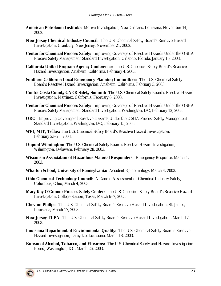- **American Petroleum Institute:** Motiva Investigation, New Orleans, Louisiana, November 14, 2002.
- **New Jersey Chemical Industry Council:** The U.S. Chemical Safety Board's Reactive Hazard Investigation, Cranbury, New Jersey, November 21, 2002.
- **Center for Chemical Process Safety:** Improving Coverage of Reactive Hazards Under the OSHA Process Safety Management Standard Investigation, Orlando, Florida, January 15, 2003.
- **California United Program Agency Conference:** The U.S. Chemical Safety Board's Reactive Hazard Investigation, Anaheim, California, February 4, 2003.
- **Southern California Local Emergency Planning Committees:** The U.S. Chemical Safety Board's Reactive Hazard Investigation, Anaheim, California, February 5, 2003.
- **Contra Costa County CAER Safety Summit:** The U.S. Chemical Safety Board's Reactive Hazard Investigation, Martinez, California, February 6, 2003.
- **Center for Chemical Process Safety:** Improving Coverage of Reactive Hazards Under the OSHA Process Safety Management Standard Investigation, Washington, DC, February 12, 2003.
- **ORC:** Improving Coverage of Reactive Hazards Under the OSHA Process Safety Management Standard Investigation, Washington, DC, February 15, 2003.
- **WPI, MIT, Tellus:** The U.S. Chemical Safety Board's Reactive Hazard Investigation, February 23–25, 2003.
- **Dupont Wilmington:** The U.S. Chemical Safety Board's Reactive Hazard Investigation, Wilmington, Delaware, February 28, 2003.
- **Wisconsin Association of Hazardous Material Responders:** Emergency Response, March 1, 2003.
- **Wharton School, University of Pennsylvania:** Accident Epidemiology, March 4, 2003.
- **Ohio Chemical Technology Council:** A Candid Assessment of Chemical Industry Safety, Columbus, Ohio, March 4, 2003.
- **Mary Kay O'Connor Process Safety Center:** The U.S. Chemical Safety Board's Reactive Hazard Investigation, College Station, Texas, March 6–7, 2003.
- **Chevron Philips:** The U.S. Chemical Safety Board's Reactive Hazard Investigation, St. James, Louisiana, March 17, 2003.
- **New Jersey TCPA:** The U.S. Chemical Safety Board's Reactive Hazard Investigation, March 17, 2003.
- **Louisiana Department of Environmental Quality:** The U.S. Chemical Safety Board's Reactive Hazard Investigation, Lafayette, Louisiana, March 18, 2003.
- **Bureau of Alcohol, Tobacco, and Firearms:** The U.S. Chemical Safety and Hazard Investigation Board, Washington, DC, March 26, 2003.

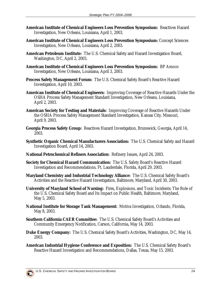- **American Institute of Chemical Engineers Loss Prevention Symposium:** Reactives Hazard Investigation, New Orleans, Louisiana, April 1, 2003.
- **American Institute of Chemical Engineers Loss Prevention Symposium:** Concept Sciences Investigation, New Orleans, Louisiana, April 2, 2003.
- **American Petroleum Institute:** The U.S. Chemical Safety and Hazard Investigation Board, Washington, DC, April 2, 2003.
- **American Institute of Chemical Engineers Loss Prevention Symposium:** BP Amoco Investigation, New Orleans, Louisiana, April 3, 2003.
- **Process Safety Management Forum:** The U.S. Chemical Safety Board's Reactive Hazard Investigation, April 10, 2003.
- **American Institute of Chemical Engineers:** Improving Coverage of Reactive Hazards Under the OSHA Process Safety Management Standard Investigation, New Orleans, Louisiana, April 2, 2003.
- **American Society for Testing and Materials:** Improving Coverage of Reactive Hazards Under the OSHA Process Safety Management Standard Investigation, Kansas City, Missouri, April 9, 2003.
- **Georgia Process Safety Group:** Reactives Hazard Investigation, Brunswick, Georgia, April 14, 2003.
- **Synthetic Organic Chemical Manufacturers Association:** The U.S. Chemical Safety and Hazard Investigation Board, April 14, 2003.
- **National Petrochemical Refiners Association:** Refinery Issues, April 24, 2003.
- **Society for Chemical Hazard Communication:** The U.S. Safety Board's Reactive Hazard Investigation and Recommendations, Ft. Lauderdale, Florida, April 29, 2003.
- **Maryland Chemistry and Industrial Technology Alliance:** The U.S. Chemical Safety Board's Activities and the Reactive Hazard Investigation, Baltimore, Maryland, April 30, 2003.
- **University of Maryland School of Nursing:** Fires, Explosions, and Toxic Incidents: The Role of the U.S. Chemical Safety Board and Its Impact on Public Health, Baltimore, Maryland, May 5, 2003.
- **National Institute for Storage Tank Management:** Motiva Investigation, Orlando, Florida, May 8, 2003.
- **Southern California CAER Committee:** The U.S. Chemical Safety Board's Activities and Community Emergency Notification, Carson, California, May 14, 2003.
- **Duke Energy Company:** The U.S. Chemical Safety Board's Activities, Washington, DC, May 14, 2003.
- **American Industrial Hygiene Conference and Exposition:** The U.S. Chemical Safety Board's Reactive Hazard Investigation and Recommendations, Dallas, Texas, May 15, 2003.

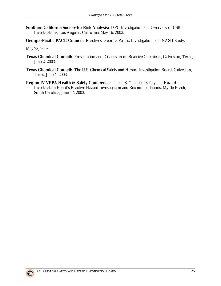- **Southern California Society for Risk Analysis:** DPC Investigation and Overview of CSB Investigations, Los Angeles, California, May 16, 2003.
- **Georgia-Pacific PACE Council:** Reactives, Georgia-Pacific Investigation, and NASH Study,

May 23, 2003.

- **Texas Chemical Council:** Presentation and Discussion on Reactive Chemicals, Galveston, Texas, June 2, 2003.
- **Texas Chemical Council:** The U.S. Chemical Safety and Hazard Investigation Board, Galveston, Texas, June 4, 2003.
- **Region IV VPPA Health & Safety Conference:** The U.S. Chemical Safety and Hazard Investigation Board's Reactive Hazard Investigation and Recommendations, Myrtle Beach, South Carolina, June 17, 2003.